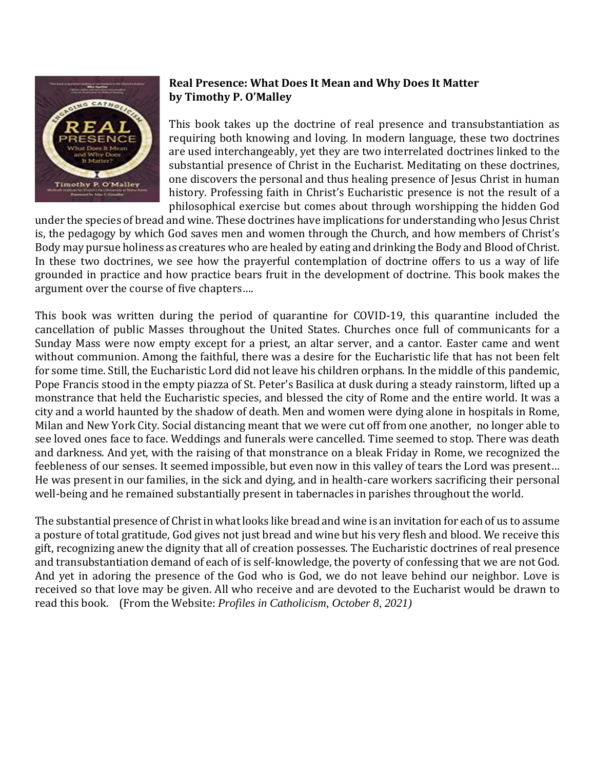

## **Real Presence: What Does It Mean and Why Does It Matter by Timothy P. O'Malley**

This book takes up the doctrine of real presence and transubstantiation as requiring both knowing and loving. In modern language, these two doctrines are used interchangeably, yet they are two interrelated doctrines linked to the substantial presence of Christ in the Eucharist. Meditating on these doctrines, one discovers the personal and thus healing presence of Jesus Christ in human history. Professing faith in Christ's Eucharistic presence is not the result of a philosophical exercise but comes about through worshipping the hidden God

under the species of bread and wine. These doctrines have implications for understanding who Jesus Christ is, the pedagogy by which God saves men and women through the Church, and how members of Christ's Body may pursue holiness as creatures who are healed by eating and drinking the Body and Blood of Christ. In these two doctrines, we see how the prayerful contemplation of doctrine offers to us a way of life grounded in practice and how practice bears fruit in the development of doctrine. This book makes the argument over the course of five chapters….

This book was written during the period of quarantine for COVID-19, this quarantine included the cancellation of public Masses throughout the United States. Churches once full of communicants for a Sunday Mass were now empty except for a priest, an altar server, and a cantor. Easter came and went without communion. Among the faithful, there was a desire for the Eucharistic life that has not been felt for some time. Still, the Eucharistic Lord did not leave his children orphans. In the middle of this pandemic, Pope Francis stood in the empty piazza of St. Peter's Basilica at dusk during a steady rainstorm, lifted up a monstrance that held the Eucharistic species, and blessed the city of Rome and the entire world. It was a city and a world haunted by the shadow of death. Men and women were dying alone in hospitals in Rome, Milan and New York City. Social distancing meant that we were cut off from one another, no longer able to see loved ones face to face. Weddings and funerals were cancelled. Time seemed to stop. There was death and darkness. And yet, with the raising of that monstrance on a bleak Friday in Rome, we recognized the feebleness of our senses. It seemed impossible, but even now in this valley of tears the Lord was present… He was present in our families, in the sick and dying, and in health-care workers sacrificing their personal well-being and he remained substantially present in tabernacles in parishes throughout the world.

The substantial presence of Christ in what looks like bread and wine is an invitation for each of us to assume a posture of total gratitude, God gives not just bread and wine but his very flesh and blood. We receive this gift, recognizing anew the dignity that all of creation possesses. The Eucharistic doctrines of real presence and transubstantiation demand of each of is self-knowledge, the poverty of confessing that we are not God. And yet in adoring the presence of the God who is God, we do not leave behind our neighbor. Love is received so that love may be given. All who receive and are devoted to the Eucharist would be drawn to read this book. (From the Website: *Profiles in Catholicism, October 8, 2021)*